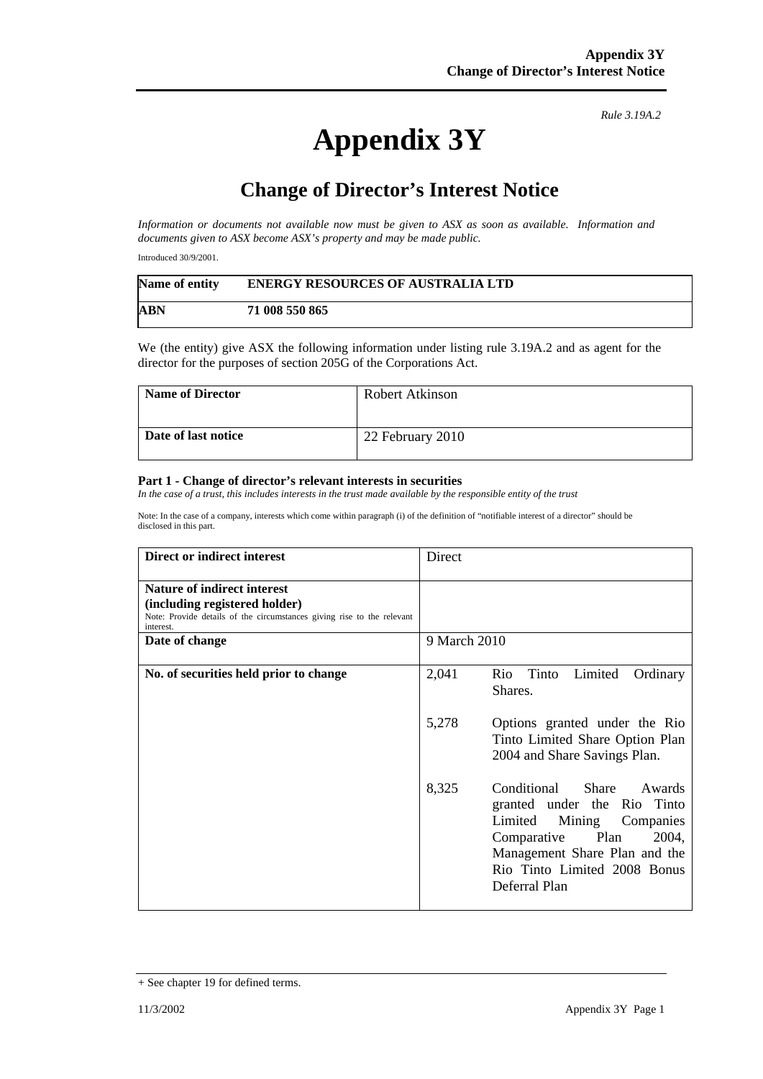## **Appendix 3Y**

*Rule 3.19A.2*

## **Change of Director's Interest Notice**

*Information or documents not available now must be given to ASX as soon as available. Information and documents given to ASX become ASX's property and may be made public.* 

Introduced 30/9/2001.

| Name of entity | <b>ENERGY RESOURCES OF AUSTRALIA LTD</b> |
|----------------|------------------------------------------|
| ABN            | 71 008 550 865                           |

We (the entity) give ASX the following information under listing rule 3.19A.2 and as agent for the director for the purposes of section 205G of the Corporations Act.

| <b>Name of Director</b> | Robert Atkinson  |
|-------------------------|------------------|
| Date of last notice     | 22 February 2010 |

## **Part 1 - Change of director's relevant interests in securities**

*In the case of a trust, this includes interests in the trust made available by the responsible entity of the trust* 

Note: In the case of a company, interests which come within paragraph (i) of the definition of "notifiable interest of a director" should be disclosed in this part.

| Direct or indirect interest                                                                                                                                | Direct                                                                                                                                                                                                            |
|------------------------------------------------------------------------------------------------------------------------------------------------------------|-------------------------------------------------------------------------------------------------------------------------------------------------------------------------------------------------------------------|
| <b>Nature of indirect interest</b><br>(including registered holder)<br>Note: Provide details of the circumstances giving rise to the relevant<br>interest. |                                                                                                                                                                                                                   |
| Date of change                                                                                                                                             | 9 March 2010                                                                                                                                                                                                      |
| No. of securities held prior to change                                                                                                                     | 2,041<br>Rio Tinto<br>Limited<br>Ordinary<br>Shares.                                                                                                                                                              |
|                                                                                                                                                            | 5,278<br>Options granted under the Rio<br>Tinto Limited Share Option Plan<br>2004 and Share Savings Plan.                                                                                                         |
|                                                                                                                                                            | 8,325<br>Conditional<br>Share<br>Awards<br>granted under the Rio Tinto<br>Limited Mining Companies<br>Comparative Plan<br>2004,<br>Management Share Plan and the<br>Rio Tinto Limited 2008 Bonus<br>Deferral Plan |

<sup>+</sup> See chapter 19 for defined terms.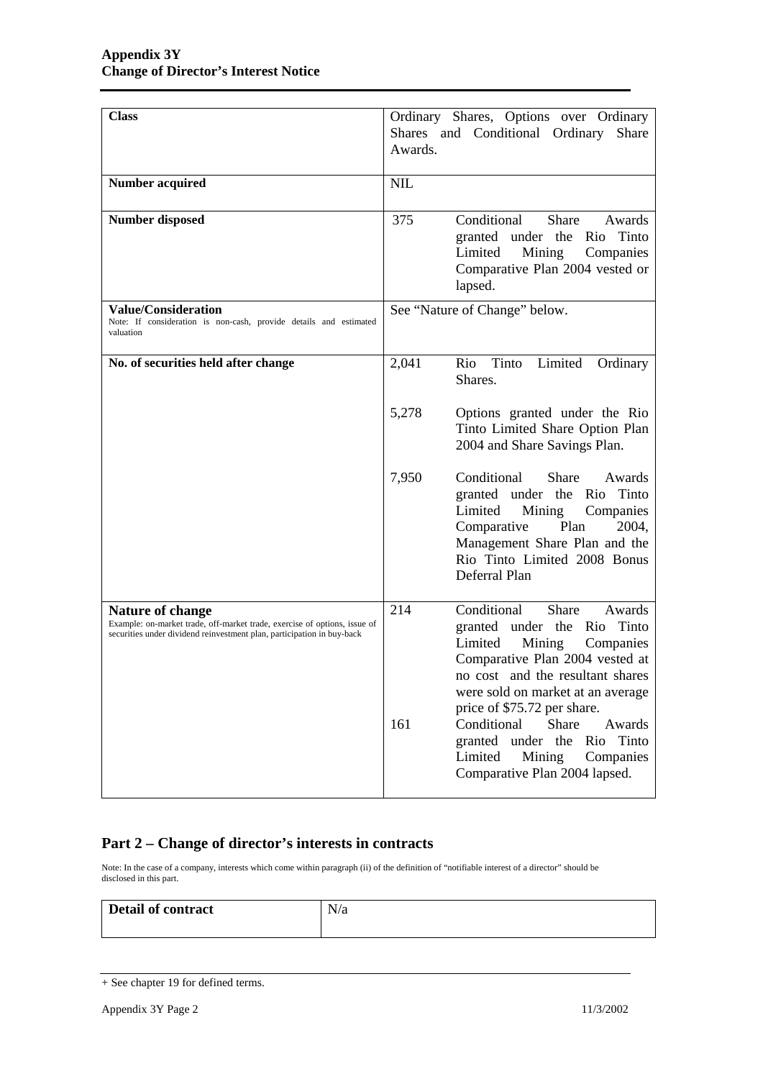| <b>Class</b>                                                                                                                                                                   | Ordinary Shares, Options over Ordinary<br>Shares and Conditional Ordinary<br>Share<br>Awards.                                                                                                                                                                                                                                                               |
|--------------------------------------------------------------------------------------------------------------------------------------------------------------------------------|-------------------------------------------------------------------------------------------------------------------------------------------------------------------------------------------------------------------------------------------------------------------------------------------------------------------------------------------------------------|
| <b>Number acquired</b>                                                                                                                                                         | <b>NIL</b>                                                                                                                                                                                                                                                                                                                                                  |
| <b>Number disposed</b>                                                                                                                                                         | 375<br>Conditional<br><b>Share</b><br>Awards<br>granted under the Rio Tinto<br>Limited<br>Mining<br>Companies<br>Comparative Plan 2004 vested or<br>lapsed.                                                                                                                                                                                                 |
| <b>Value/Consideration</b><br>Note: If consideration is non-cash, provide details and estimated<br>valuation                                                                   | See "Nature of Change" below.                                                                                                                                                                                                                                                                                                                               |
| No. of securities held after change                                                                                                                                            | Limited<br>Tinto<br>2,041<br>Rio<br>Ordinary<br>Shares.                                                                                                                                                                                                                                                                                                     |
|                                                                                                                                                                                | 5,278<br>Options granted under the Rio<br>Tinto Limited Share Option Plan<br>2004 and Share Savings Plan.                                                                                                                                                                                                                                                   |
|                                                                                                                                                                                | 7,950<br>Conditional<br>Share<br>Awards<br>granted under the Rio Tinto<br>Limited<br>Mining<br>Companies<br>Plan<br>Comparative<br>2004,<br>Management Share Plan and the<br>Rio Tinto Limited 2008 Bonus<br>Deferral Plan                                                                                                                                  |
| <b>Nature of change</b><br>Example: on-market trade, off-market trade, exercise of options, issue of<br>securities under dividend reinvestment plan, participation in buy-back | Conditional<br>214<br>Share<br>Awards<br>granted under the Rio Tinto<br>Limited<br>Mining<br>Companies<br>Comparative Plan 2004 vested at<br>no cost and the resultant shares<br>were sold on market at an average<br>price of \$75.72 per share.<br>Share<br>161<br>Conditional<br>Awards<br>granted under the Rio Tinto<br>Limited<br>Mining<br>Companies |
|                                                                                                                                                                                | Comparative Plan 2004 lapsed.                                                                                                                                                                                                                                                                                                                               |

## **Part 2 – Change of director's interests in contracts**

Note: In the case of a company, interests which come within paragraph (ii) of the definition of "notifiable interest of a director" should be disclosed in this part.

| <b>Detail of contract</b> | N/a |
|---------------------------|-----|
|                           |     |

<sup>+</sup> See chapter 19 for defined terms.